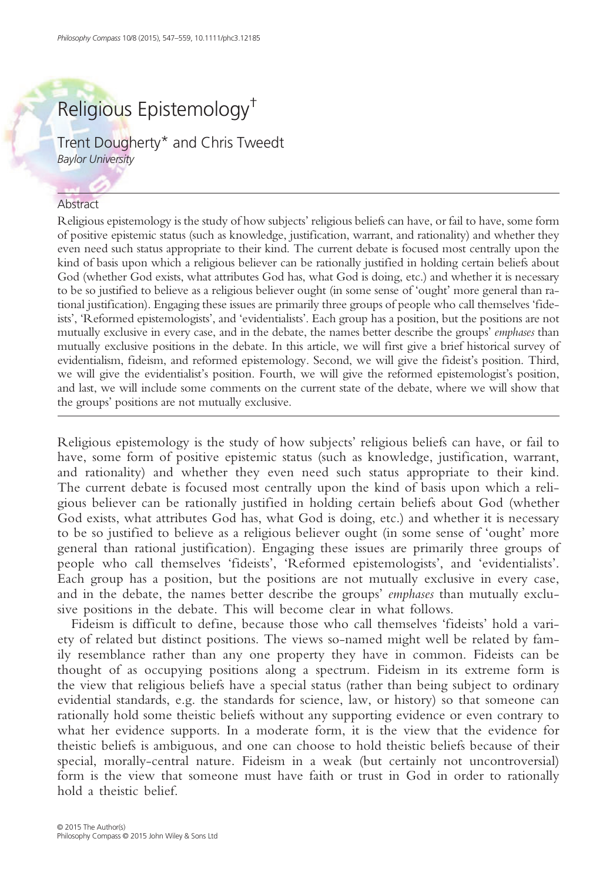Trent Dougherty\* and Chris Tweedt Baylor University

#### Abstract

Religious epistemology is the study of how subjects' religious beliefs can have, or fail to have, some form of positive epistemic status (such as knowledge, justification, warrant, and rationality) and whether they even need such status appropriate to their kind. The current debate is focused most centrally upon the kind of basis upon which a religious believer can be rationally justified in holding certain beliefs about God (whether God exists, what attributes God has, what God is doing, etc.) and whether it is necessary to be so justified to believe as a religious believer ought (in some sense of 'ought' more general than rational justification). Engaging these issues are primarily three groups of people who call themselves 'fideists', 'Reformed epistemologists', and 'evidentialists'. Each group has a position, but the positions are not mutually exclusive in every case, and in the debate, the names better describe the groups' emphases than mutually exclusive positions in the debate. In this article, we will first give a brief historical survey of evidentialism, fideism, and reformed epistemology. Second, we will give the fideist's position. Third, we will give the evidentialist's position. Fourth, we will give the reformed epistemologist's position, and last, we will include some comments on the current state of the debate, where we will show that the groups' positions are not mutually exclusive.

Religious epistemology is the study of how subjects' religious beliefs can have, or fail to have, some form of positive epistemic status (such as knowledge, justification, warrant, and rationality) and whether they even need such status appropriate to their kind. The current debate is focused most centrally upon the kind of basis upon which a religious believer can be rationally justified in holding certain beliefs about God (whether God exists, what attributes God has, what God is doing, etc.) and whether it is necessary to be so justified to believe as a religious believer ought (in some sense of 'ought' more general than rational justification). Engaging these issues are primarily three groups of people who call themselves 'fideists', 'Reformed epistemologists', and 'evidentialists'. Each group has a position, but the positions are not mutually exclusive in every case, and in the debate, the names better describe the groups' emphases than mutually exclusive positions in the debate. This will become clear in what follows.

Fideism is difficult to define, because those who call themselves 'fideists' hold a variety of related but distinct positions. The views so-named might well be related by family resemblance rather than any one property they have in common. Fideists can be thought of as occupying positions along a spectrum. Fideism in its extreme form is the view that religious beliefs have a special status (rather than being subject to ordinary evidential standards, e.g. the standards for science, law, or history) so that someone can rationally hold some theistic beliefs without any supporting evidence or even contrary to what her evidence supports. In a moderate form, it is the view that the evidence for theistic beliefs is ambiguous, and one can choose to hold theistic beliefs because of their special, morally-central nature. Fideism in a weak (but certainly not uncontroversial) form is the view that someone must have faith or trust in God in order to rationally hold a theistic belief.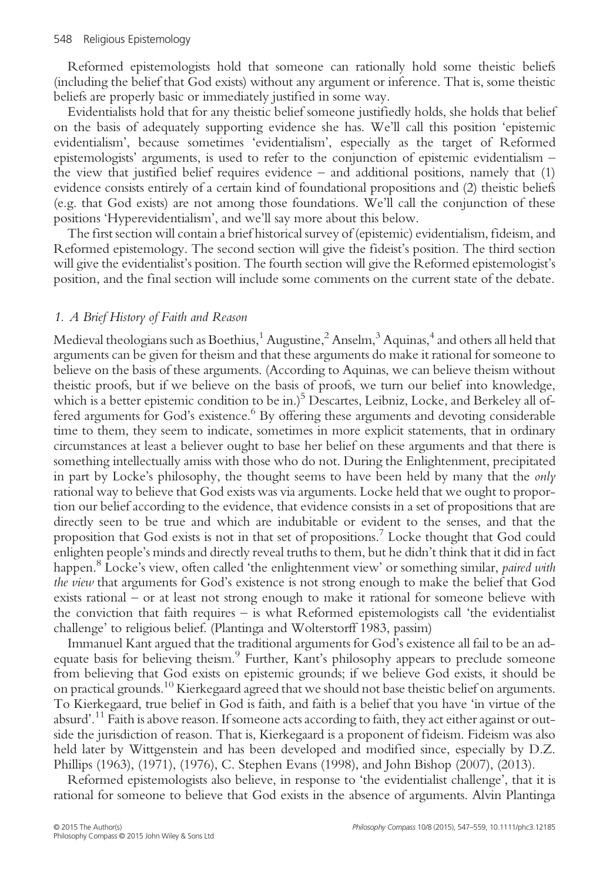Reformed epistemologists hold that someone can rationally hold some theistic beliefs (including the belief that God exists) without any argument or inference. That is, some theistic beliefs are properly basic or immediately justified in some way.

Evidentialists hold that for any theistic belief someone justifiedly holds, she holds that belief on the basis of adequately supporting evidence she has. We'll call this position 'epistemic evidentialism', because sometimes 'evidentialism', especially as the target of Reformed epistemologists' arguments, is used to refer to the conjunction of epistemic evidentialism – the view that justified belief requires evidence – and additional positions, namely that (1) evidence consists entirely of a certain kind of foundational propositions and (2) theistic beliefs (e.g. that God exists) are not among those foundations. We'll call the conjunction of these positions 'Hyperevidentialism', and we'll say more about this below.

The first section will contain a brief historical survey of (epistemic) evidentialism, fideism, and Reformed epistemology. The second section will give the fideist's position. The third section will give the evidentialist's position. The fourth section will give the Reformed epistemologist's position, and the final section will include some comments on the current state of the debate.

# 1. A Brief History of Faith and Reason

Medieval theologians such as Boethius,<sup>1</sup> Augustine,<sup>2</sup> Anselm,<sup>3</sup> Aquinas,<sup>4</sup> and others all held that arguments can be given for theism and that these arguments do make it rational for someone to believe on the basis of these arguments. (According to Aquinas, we can believe theism without theistic proofs, but if we believe on the basis of proofs, we turn our belief into knowledge, which is a better epistemic condition to be in.)<sup>5</sup> Descartes, Leibniz, Locke, and Berkeley all offered arguments for God's existence.<sup>6</sup> By offering these arguments and devoting considerable time to them, they seem to indicate, sometimes in more explicit statements, that in ordinary circumstances at least a believer ought to base her belief on these arguments and that there is something intellectually amiss with those who do not. During the Enlightenment, precipitated in part by Locke's philosophy, the thought seems to have been held by many that the only rational way to believe that God exists was via arguments. Locke held that we ought to proportion our belief according to the evidence, that evidence consists in a set of propositions that are directly seen to be true and which are indubitable or evident to the senses, and that the proposition that God exists is not in that set of propositions.7 Locke thought that God could enlighten people's minds and directly reveal truths to them, but he didn't think that it did in fact happen.<sup>8</sup> Locke's view, often called 'the enlightenment view' or something similar, *paired with* the view that arguments for God's existence is not strong enough to make the belief that God exists rational – or at least not strong enough to make it rational for someone believe with the conviction that faith requires – is what Reformed epistemologists call 'the evidentialist challenge' to religious belief. (Plantinga and Wolterstorff 1983, passim)

Immanuel Kant argued that the traditional arguments for God's existence all fail to be an adequate basis for believing theism.<sup>9</sup> Further, Kant's philosophy appears to preclude someone from believing that God exists on epistemic grounds; if we believe God exists, it should be on practical grounds.<sup>10</sup> Kierkegaard agreed that we should not base theistic belief on arguments. To Kierkegaard, true belief in God is faith, and faith is a belief that you have 'in virtue of the absurd'.<sup>11</sup> Faith is above reason. If someone acts according to faith, they act either against or outside the jurisdiction of reason. That is, Kierkegaard is a proponent of fideism. Fideism was also held later by Wittgenstein and has been developed and modified since, especially by D.Z. Phillips (1963), (1971), (1976), C. Stephen Evans (1998), and John Bishop (2007), (2013).

Reformed epistemologists also believe, in response to 'the evidentialist challenge', that it is rational for someone to believe that God exists in the absence of arguments. Alvin Plantinga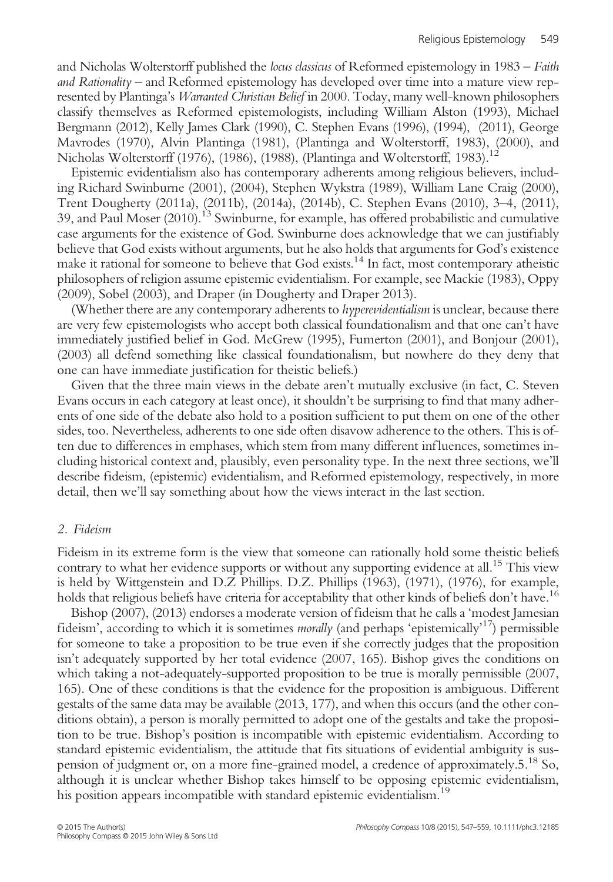and Nicholas Wolterstorff published the locus classicus of Reformed epistemology in 1983 – Faith and Rationality – and Reformed epistemology has developed over time into a mature view represented by Plantinga's Warranted Christian Belief in 2000. Today, many well-known philosophers classify themselves as Reformed epistemologists, including William Alston (1993), Michael Bergmann (2012), Kelly James Clark (1990), C. Stephen Evans (1996), (1994), (2011), George Mavrodes (1970), Alvin Plantinga (1981), (Plantinga and Wolterstorff, 1983), (2000), and Nicholas Wolterstorff (1976), (1986), (1988), (Plantinga and Wolterstorff, 1983).<sup>12</sup>

Epistemic evidentialism also has contemporary adherents among religious believers, including Richard Swinburne (2001), (2004), Stephen Wykstra (1989), William Lane Craig (2000), Trent Dougherty (2011a), (2011b), (2014a), (2014b), C. Stephen Evans (2010), 3–4, (2011), 39, and Paul Moser (2010).13 Swinburne, for example, has offered probabilistic and cumulative case arguments for the existence of God. Swinburne does acknowledge that we can justifiably believe that God exists without arguments, but he also holds that arguments for God's existence make it rational for someone to believe that God exists.<sup>14</sup> In fact, most contemporary atheistic philosophers of religion assume epistemic evidentialism. For example, see Mackie (1983), Oppy (2009), Sobel (2003), and Draper (in Dougherty and Draper 2013).

(Whether there are any contemporary adherents to *hyperevidentialism* is unclear, because there are very few epistemologists who accept both classical foundationalism and that one can't have immediately justified belief in God. McGrew (1995), Fumerton (2001), and Bonjour (2001), (2003) all defend something like classical foundationalism, but nowhere do they deny that one can have immediate justification for theistic beliefs.)

Given that the three main views in the debate aren't mutually exclusive (in fact, C. Steven Evans occurs in each category at least once), it shouldn't be surprising to find that many adherents of one side of the debate also hold to a position sufficient to put them on one of the other sides, too. Nevertheless, adherents to one side often disavow adherence to the others. This is often due to differences in emphases, which stem from many different inf luences, sometimes including historical context and, plausibly, even personality type. In the next three sections, we'll describe fideism, (epistemic) evidentialism, and Reformed epistemology, respectively, in more detail, then we'll say something about how the views interact in the last section.

## 2. Fideism

Fideism in its extreme form is the view that someone can rationally hold some theistic beliefs contrary to what her evidence supports or without any supporting evidence at all.<sup>15</sup> This view is held by Wittgenstein and D.Z Phillips. D.Z. Phillips (1963), (1971), (1976), for example, holds that religious beliefs have criteria for acceptability that other kinds of beliefs don't have.<sup>16</sup>

Bishop (2007), (2013) endorses a moderate version of fideism that he calls a 'modest Jamesian fideism', according to which it is sometimes *morally* (and perhaps 'epistemically'<sup>17</sup>) permissible for someone to take a proposition to be true even if she correctly judges that the proposition isn't adequately supported by her total evidence (2007, 165). Bishop gives the conditions on which taking a not-adequately-supported proposition to be true is morally permissible (2007, 165). One of these conditions is that the evidence for the proposition is ambiguous. Different gestalts of the same data may be available (2013, 177), and when this occurs (and the other conditions obtain), a person is morally permitted to adopt one of the gestalts and take the proposition to be true. Bishop's position is incompatible with epistemic evidentialism. According to standard epistemic evidentialism, the attitude that fits situations of evidential ambiguity is suspension of judgment or, on a more fine-grained model, a credence of approximately.5.<sup>18</sup> So, although it is unclear whether Bishop takes himself to be opposing epistemic evidentialism, his position appears incompatible with standard epistemic evidentialism.<sup>19</sup>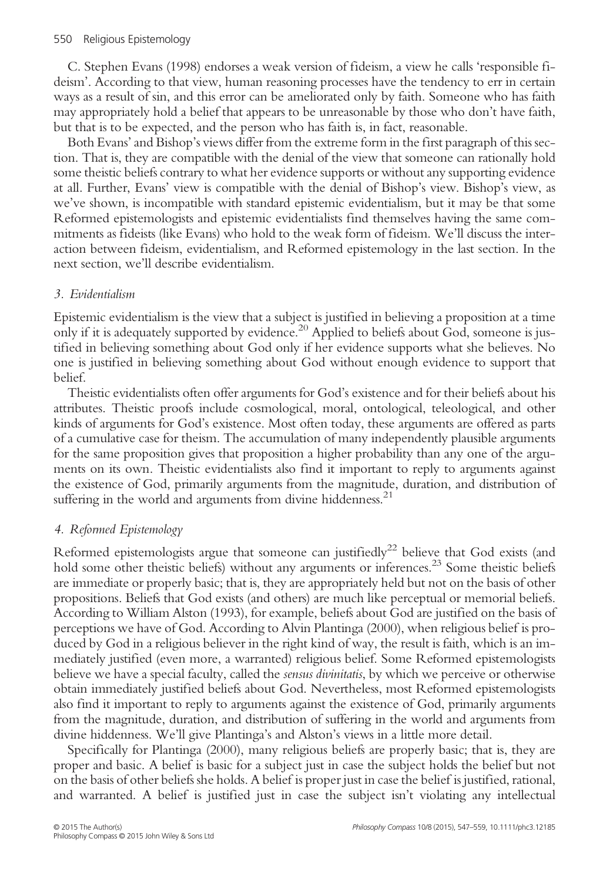C. Stephen Evans (1998) endorses a weak version of fideism, a view he calls 'responsible fideism'. According to that view, human reasoning processes have the tendency to err in certain ways as a result of sin, and this error can be ameliorated only by faith. Someone who has faith may appropriately hold a belief that appears to be unreasonable by those who don't have faith, but that is to be expected, and the person who has faith is, in fact, reasonable.

Both Evans'and Bishop's views differ from the extreme form in the first paragraph of this section. That is, they are compatible with the denial of the view that someone can rationally hold some theistic beliefs contrary to what her evidence supports or without any supporting evidence at all. Further, Evans' view is compatible with the denial of Bishop's view. Bishop's view, as we've shown, is incompatible with standard epistemic evidentialism, but it may be that some Reformed epistemologists and epistemic evidentialists find themselves having the same commitments as fideists (like Evans) who hold to the weak form of fideism. We'll discuss the interaction between fideism, evidentialism, and Reformed epistemology in the last section. In the next section, we'll describe evidentialism.

## 3. Evidentialism

Epistemic evidentialism is the view that a subject is justified in believing a proposition at a time only if it is adequately supported by evidence.<sup>20</sup> Applied to beliefs about God, someone is justified in believing something about God only if her evidence supports what she believes. No one is justified in believing something about God without enough evidence to support that belief.

Theistic evidentialists often offer arguments for God's existence and for their beliefs about his attributes. Theistic proofs include cosmological, moral, ontological, teleological, and other kinds of arguments for God's existence. Most often today, these arguments are offered as parts of a cumulative case for theism. The accumulation of many independently plausible arguments for the same proposition gives that proposition a higher probability than any one of the arguments on its own. Theistic evidentialists also find it important to reply to arguments against the existence of God, primarily arguments from the magnitude, duration, and distribution of suffering in the world and arguments from divine hiddenness.<sup>21</sup>

## 4. Reformed Epistemology

Reformed epistemologists argue that someone can justifiedly<sup>22</sup> believe that God exists (and hold some other theistic beliefs) without any arguments or inferences.<sup>23</sup> Some theistic beliefs are immediate or properly basic; that is, they are appropriately held but not on the basis of other propositions. Beliefs that God exists (and others) are much like perceptual or memorial beliefs. According to William Alston (1993), for example, beliefs about God are justified on the basis of perceptions we have of God. According to Alvin Plantinga (2000), when religious belief is produced by God in a religious believer in the right kind of way, the result is faith, which is an immediately justified (even more, a warranted) religious belief. Some Reformed epistemologists believe we have a special faculty, called the sensus divinitatis, by which we perceive or otherwise obtain immediately justified beliefs about God. Nevertheless, most Reformed epistemologists also find it important to reply to arguments against the existence of God, primarily arguments from the magnitude, duration, and distribution of suffering in the world and arguments from divine hiddenness. We'll give Plantinga's and Alston's views in a little more detail.

Specifically for Plantinga (2000), many religious beliefs are properly basic; that is, they are proper and basic. A belief is basic for a subject just in case the subject holds the belief but not on the basis of other beliefs she holds. A belief is proper just in case the belief is justified, rational, and warranted. A belief is justified just in case the subject isn't violating any intellectual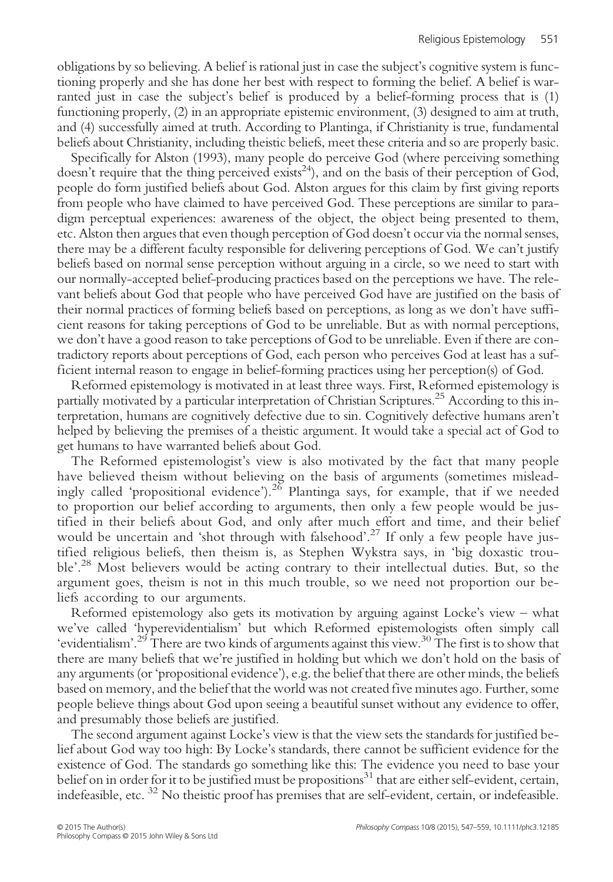obligations by so believing. A belief is rational just in case the subject's cognitive system is functioning properly and she has done her best with respect to forming the belief. A belief is warranted just in case the subject's belief is produced by a belief-forming process that is (1) functioning properly, (2) in an appropriate epistemic environment, (3) designed to aim at truth, and (4) successfully aimed at truth. According to Plantinga, if Christianity is true, fundamental beliefs about Christianity, including theistic beliefs, meet these criteria and so are properly basic.

Specifically for Alston (1993), many people do perceive God (where perceiving something doesn't require that the thing perceived exists<sup>24</sup>), and on the basis of their perception of God, people do form justified beliefs about God. Alston argues for this claim by first giving reports from people who have claimed to have perceived God. These perceptions are similar to paradigm perceptual experiences: awareness of the object, the object being presented to them, etc. Alston then argues that even though perception of God doesn't occur via the normal senses, there may be a different faculty responsible for delivering perceptions of God. We can't justify beliefs based on normal sense perception without arguing in a circle, so we need to start with our normally-accepted belief-producing practices based on the perceptions we have. The relevant beliefs about God that people who have perceived God have are justified on the basis of their normal practices of forming beliefs based on perceptions, as long as we don't have sufficient reasons for taking perceptions of God to be unreliable. But as with normal perceptions, we don't have a good reason to take perceptions of God to be unreliable. Even if there are contradictory reports about perceptions of God, each person who perceives God at least has a sufficient internal reason to engage in belief-forming practices using her perception(s) of God.

Reformed epistemology is motivated in at least three ways. First, Reformed epistemology is partially motivated by a particular interpretation of Christian Scriptures.<sup>25</sup> According to this interpretation, humans are cognitively defective due to sin. Cognitively defective humans aren't helped by believing the premises of a theistic argument. It would take a special act of God to get humans to have warranted beliefs about God.

The Reformed epistemologist's view is also motivated by the fact that many people have believed theism without believing on the basis of arguments (sometimes misleadingly called 'propositional evidence').<sup>26</sup> Plantinga says, for example, that if we needed to proportion our belief according to arguments, then only a few people would be justified in their beliefs about God, and only after much effort and time, and their belief would be uncertain and 'shot through with falsehood'. <sup>27</sup> If only a few people have justified religious beliefs, then theism is, as Stephen Wykstra says, in 'big doxastic trouble'.<sup>28</sup> Most believers would be acting contrary to their intellectual duties. But, so the argument goes, theism is not in this much trouble, so we need not proportion our beliefs according to our arguments.

Reformed epistemology also gets its motivation by arguing against Locke's view – what we've called 'hyperevidentialism' but which Reformed epistemologists often simply call 'evidentialism'.<sup>29</sup> There are two kinds of arguments against this view.<sup>30</sup> The first is to show that there are many beliefs that we're justified in holding but which we don't hold on the basis of any arguments (or 'propositional evidence'), e.g. the belief that there are other minds, the beliefs based on memory, and the belief that the world was not created five minutes ago. Further, some people believe things about God upon seeing a beautiful sunset without any evidence to offer, and presumably those beliefs are justified.

The second argument against Locke's view is that the view sets the standards for justified belief about God way too high: By Locke's standards, there cannot be sufficient evidence for the existence of God. The standards go something like this: The evidence you need to base your belief on in order for it to be justified must be propositions<sup>31</sup> that are either self-evident, certain, indefeasible, etc. <sup>32</sup> No theistic proof has premises that are self-evident, certain, or indefeasible.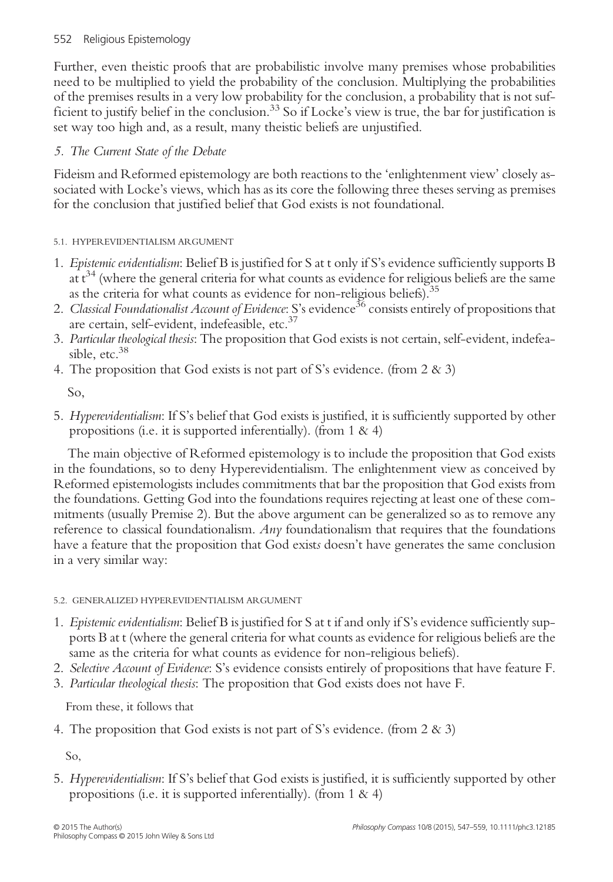Further, even theistic proofs that are probabilistic involve many premises whose probabilities need to be multiplied to yield the probability of the conclusion. Multiplying the probabilities of the premises results in a very low probability for the conclusion, a probability that is not sufficient to justify belief in the conclusion.<sup>33</sup> So if Locke's view is true, the bar for justification is set way too high and, as a result, many theistic beliefs are unjustified.

# 5. The Current State of the Debate

Fideism and Reformed epistemology are both reactions to the 'enlightenment view' closely associated with Locke's views, which has as its core the following three theses serving as premises for the conclusion that justified belief that God exists is not foundational.

# 5.1. HYPEREVIDENTIALISM ARGUMENT

- 1. Epistemic evidentialism: Belief B is justified for S at t only if S's evidence sufficiently supports B at  $t^{34}$  (where the general criteria for what counts as evidence for religious beliefs are the same as the criteria for what counts as evidence for non-religious beliefs).<sup>35</sup>
- 2. Classical Foundationalist Account of Evidence: S's evidence<sup>36</sup> consists entirely of propositions that are certain, self-evident, indefeasible, etc.<sup>37</sup>
- 3. Particular theological thesis: The proposition that God exists is not certain, self-evident, indefeasible, etc.<sup>38</sup>
- 4. The proposition that God exists is not part of S's evidence. (from 2 & 3)

So,

5. Hyperevidentialism: If S's belief that God exists is justified, it is sufficiently supported by other propositions (i.e. it is supported inferentially). (from  $1 \& 4$ )

The main objective of Reformed epistemology is to include the proposition that God exists in the foundations, so to deny Hyperevidentialism. The enlightenment view as conceived by Reformed epistemologists includes commitments that bar the proposition that God exists from the foundations. Getting God into the foundations requires rejecting at least one of these commitments (usually Premise 2). But the above argument can be generalized so as to remove any reference to classical foundationalism. Any foundationalism that requires that the foundations have a feature that the proposition that God exists doesn't have generates the same conclusion in a very similar way:

## 5.2. GENERALIZED HYPEREVIDENTIALISM ARGUMENT

- 1. Epistemic evidentialism: Belief B is justified for S at t if and only if S's evidence sufficiently supports B at t (where the general criteria for what counts as evidence for religious beliefs are the same as the criteria for what counts as evidence for non-religious beliefs).
- 2. Selective Account of Evidence: S's evidence consists entirely of propositions that have feature F.
- 3. Particular theological thesis: The proposition that God exists does not have F.

From these, it follows that

4. The proposition that God exists is not part of S's evidence. (from 2 & 3)

So,

5. Hyperevidentialism: If S's belief that God exists is justified, it is sufficiently supported by other propositions (i.e. it is supported inferentially). (from  $1 \& 4$ )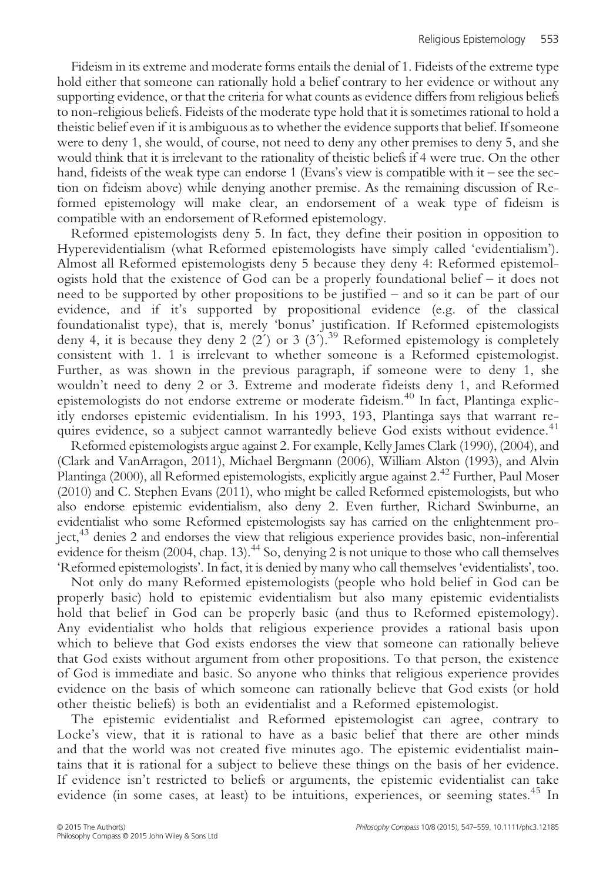Fideism in its extreme and moderate forms entails the denial of 1. Fideists of the extreme type hold either that someone can rationally hold a belief contrary to her evidence or without any supporting evidence, or that the criteria for what counts as evidence differs from religious beliefs to non-religious beliefs. Fideists of the moderate type hold that it is sometimes rational to hold a theistic belief even if it is ambiguous as to whether the evidence supports that belief. If someone were to deny 1, she would, of course, not need to deny any other premises to deny 5, and she would think that it is irrelevant to the rationality of theistic beliefs if 4 were true. On the other hand, fideists of the weak type can endorse 1 (Evans's view is compatible with it – see the section on fideism above) while denying another premise. As the remaining discussion of Reformed epistemology will make clear, an endorsement of a weak type of fideism is compatible with an endorsement of Reformed epistemology.

Reformed epistemologists deny 5. In fact, they define their position in opposition to Hyperevidentialism (what Reformed epistemologists have simply called 'evidentialism'). Almost all Reformed epistemologists deny 5 because they deny 4: Reformed epistemologists hold that the existence of God can be a properly foundational belief – it does not need to be supported by other propositions to be justified – and so it can be part of our evidence, and if it's supported by propositional evidence (e.g. of the classical foundationalist type), that is, merely 'bonus' justification. If Reformed epistemologists deny 4, it is because they deny 2 (2') or 3 (3').<sup>39</sup> Reformed epistemology is completely consistent with 1. 1 is irrelevant to whether someone is a Reformed epistemologist. Further, as was shown in the previous paragraph, if someone were to deny 1, she wouldn't need to deny 2 or 3. Extreme and moderate fideists deny 1, and Reformed epistemologists do not endorse extreme or moderate fideism.<sup>40</sup> In fact, Plantinga explicitly endorses epistemic evidentialism. In his 1993, 193, Plantinga says that warrant requires evidence, so a subject cannot warrantedly believe God exists without evidence.<sup>41</sup>

Reformed epistemologists argue against 2. For example, Kelly James Clark (1990), (2004), and (Clark and VanArragon, 2011), Michael Bergmann (2006), William Alston (1993), and Alvin Plantinga (2000), all Reformed epistemologists, explicitly argue against 2.<sup>42</sup> Further, Paul Moser (2010) and C. Stephen Evans (2011), who might be called Reformed epistemologists, but who also endorse epistemic evidentialism, also deny 2. Even further, Richard Swinburne, an evidentialist who some Reformed epistemologists say has carried on the enlightenment project,43 denies 2 and endorses the view that religious experience provides basic, non-inferential evidence for theism  $(2004,$  chap. 13).<sup>44</sup> So, denying 2 is not unique to those who call themselves 'Reformed epistemologists'. In fact, it is denied by many who call themselves 'evidentialists', too.

Not only do many Reformed epistemologists (people who hold belief in God can be properly basic) hold to epistemic evidentialism but also many epistemic evidentialists hold that belief in God can be properly basic (and thus to Reformed epistemology). Any evidentialist who holds that religious experience provides a rational basis upon which to believe that God exists endorses the view that someone can rationally believe that God exists without argument from other propositions. To that person, the existence of God is immediate and basic. So anyone who thinks that religious experience provides evidence on the basis of which someone can rationally believe that God exists (or hold other theistic beliefs) is both an evidentialist and a Reformed epistemologist.

The epistemic evidentialist and Reformed epistemologist can agree, contrary to Locke's view, that it is rational to have as a basic belief that there are other minds and that the world was not created five minutes ago. The epistemic evidentialist maintains that it is rational for a subject to believe these things on the basis of her evidence. If evidence isn't restricted to beliefs or arguments, the epistemic evidentialist can take evidence (in some cases, at least) to be intuitions, experiences, or seeming states.<sup>45</sup> In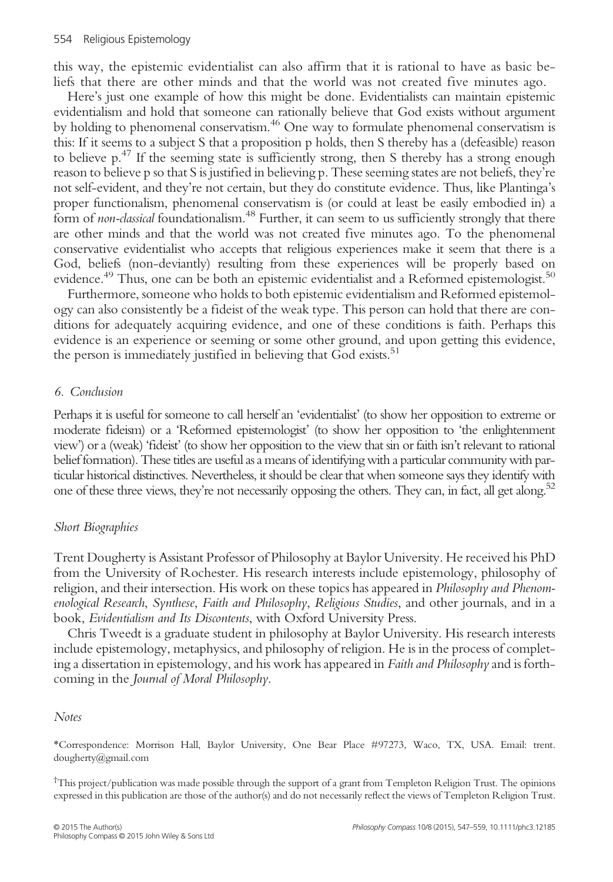this way, the epistemic evidentialist can also affirm that it is rational to have as basic beliefs that there are other minds and that the world was not created five minutes ago.

Here's just one example of how this might be done. Evidentialists can maintain epistemic evidentialism and hold that someone can rationally believe that God exists without argument by holding to phenomenal conservatism.<sup>46</sup> One way to formulate phenomenal conservatism is this: If it seems to a subject S that a proposition p holds, then S thereby has a (defeasible) reason to believe  $p^{47}$ . If the seeming state is sufficiently strong, then S thereby has a strong enough reason to believe p so that S is justified in believing p. These seeming states are not beliefs, they're not self-evident, and they're not certain, but they do constitute evidence. Thus, like Plantinga's proper functionalism, phenomenal conservatism is (or could at least be easily embodied in) a form of non-classical foundationalism.<sup>48</sup> Further, it can seem to us sufficiently strongly that there are other minds and that the world was not created five minutes ago. To the phenomenal conservative evidentialist who accepts that religious experiences make it seem that there is a God, beliefs (non-deviantly) resulting from these experiences will be properly based on evidence.<sup>49</sup> Thus, one can be both an epistemic evidentialist and a Reformed epistemologist.<sup>50</sup>

Furthermore, someone who holds to both epistemic evidentialism and Reformed epistemology can also consistently be a fideist of the weak type. This person can hold that there are conditions for adequately acquiring evidence, and one of these conditions is faith. Perhaps this evidence is an experience or seeming or some other ground, and upon getting this evidence, the person is immediately justified in believing that God exists.<sup>51</sup>

#### 6. Conclusion

Perhaps it is useful for someone to call herself an 'evidentialist' (to show her opposition to extreme or moderate fideism) or a 'Reformed epistemologist' (to show her opposition to 'the enlightenment view') or a (weak) 'fideist' (to show her opposition to the view that sin or faith isn't relevant to rational belief formation). These titles are useful as a means of identifying with a particular community with particular historical distinctives. Nevertheless, it should be clear that when someone says they identify with one of these three views, they're not necessarily opposing the others. They can, in fact, all get along.<sup>52</sup>

#### Short Biographies

Trent Dougherty is Assistant Professor of Philosophy at Baylor University. He received his PhD from the University of Rochester. His research interests include epistemology, philosophy of religion, and their intersection. His work on these topics has appeared in Philosophy and Phenomenological Research, Synthese, Faith and Philosophy, Religious Studies, and other journals, and in a book, Evidentialism and Its Discontents, with Oxford University Press.

Chris Tweedt is a graduate student in philosophy at Baylor University. His research interests include epistemology, metaphysics, and philosophy of religion. He is in the process of completing a dissertation in epistemology, and his work has appeared in *Faith and Philosophy* and is forthcoming in the Journal of Moral Philosophy.

#### Notes

\*Correspondence: Morrison Hall, Baylor University, One Bear Place #97273, Waco, TX, USA. Email: trent. dougherty@gmail.com

† This project/publication was made possible through the support of a grant from Templeton Religion Trust. The opinions expressed in this publication are those of the author(s) and do not necessarily reflect the views of Templeton Religion Trust.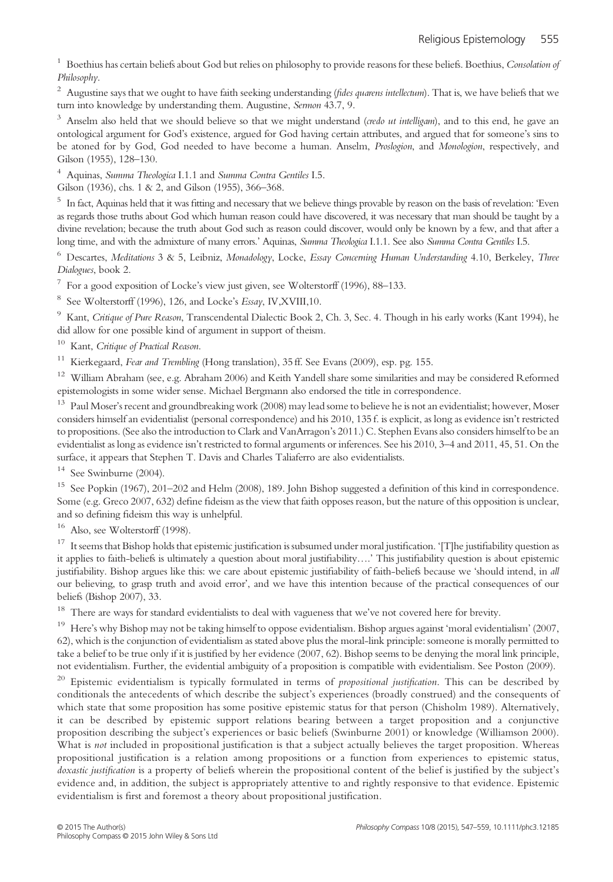<sup>1</sup> Boethius has certain beliefs about God but relies on philosophy to provide reasons for these beliefs. Boethius, Consolation of Philosophy.

 $2$  Augustine says that we ought to have faith seeking understanding (fides quarens intellectum). That is, we have beliefs that we turn into knowledge by understanding them. Augustine, Sermon 43.7, 9.

 $3$  Anselm also held that we should believe so that we might understand (credo ut intelligam), and to this end, he gave an ontological argument for God's existence, argued for God having certain attributes, and argued that for someone's sins to be atoned for by God, God needed to have become a human. Anselm, Proslogion, and Monologion, respectively, and Gilson (1955), 128–130.

<sup>4</sup> Aquinas, Summa Theologica I.1.1 and Summa Contra Gentiles I.5.

Gilson (1936), chs. 1 & 2, and Gilson (1955), 366–368.

<sup>5</sup> In fact, Aquinas held that it was fitting and necessary that we believe things provable by reason on the basis of revelation: 'Even as regards those truths about God which human reason could have discovered, it was necessary that man should be taught by a divine revelation; because the truth about God such as reason could discover, would only be known by a few, and that after a long time, and with the admixture of many errors.' Aquinas, Summa Theologica I.1.1. See also Summa Contra Gentiles I.5.

 $6$  Descartes, Meditations 3 & 5, Leibniz, Monadology, Locke, Essay Concerning Human Understanding 4.10, Berkeley, Three Dialogues, book 2.

 $7$  For a good exposition of Locke's view just given, see Wolterstorff (1996), 88–133.

<sup>8</sup> See Wolterstorff (1996), 126, and Locke's Essay, IV, XVIII, 10.

<sup>9</sup> Kant, Critique of Pure Reason, Transcendental Dialectic Book 2, Ch. 3, Sec. 4. Though in his early works (Kant 1994), he did allow for one possible kind of argument in support of theism.

 $10$  Kant, Critique of Practical Reason.

<sup>11</sup> Kierkegaard, *Fear and Trembling* (Hong translation),  $35$  ff. See Evans (2009), esp. pg. 155.

<sup>12</sup> William Abraham (see, e.g. Abraham 2006) and Keith Yandell share some similarities and may be considered Reformed epistemologists in some wider sense. Michael Bergmann also endorsed the title in correspondence.

<sup>13</sup> Paul Moser's recent and groundbreaking work (2008) may lead some to believe he is not an evidentialist; however, Moser considers himself an evidentialist (personal correspondence) and his 2010, 135 f. is explicit, as long as evidence isn't restricted to propositions. (See also the introduction to Clark and VanArragon's 2011.) C. Stephen Evans also considers himself to be an evidentialist as long as evidence isn't restricted to formal arguments or inferences. See his 2010, 3–4 and 2011, 45, 51. On the surface, it appears that Stephen T. Davis and Charles Taliaferro are also evidentialists.

<sup>14</sup> See Swinburne (2004).

<sup>15</sup> See Popkin (1967), 201–202 and Helm (2008), 189. John Bishop suggested a definition of this kind in correspondence. Some (e.g. Greco 2007, 632) define fideism as the view that faith opposes reason, but the nature of this opposition is unclear, and so defining fideism this way is unhelpful.

<sup>16</sup> Also, see Wolterstorff (1998).

<sup>17</sup> It seems that Bishop holds that epistemic justification is subsumed under moral justification. '[T]he justifiability question as it applies to faith-beliefs is ultimately a question about moral justifiability….' This justifiability question is about epistemic justifiability. Bishop argues like this: we care about epistemic justifiability of faith-beliefs because we 'should intend, in all our believing, to grasp truth and avoid error', and we have this intention because of the practical consequences of our beliefs (Bishop 2007), 33.

<sup>18</sup> There are ways for standard evidentialists to deal with vagueness that we've not covered here for brevity.

<sup>19</sup> Here's why Bishop may not be taking himself to oppose evidentialism. Bishop argues against 'moral evidentialism' (2007, 62), which is the conjunction of evidentialism as stated above plus the moral-link principle: someone is morally permitted to take a belief to be true only if it is justified by her evidence (2007, 62). Bishop seems to be denying the moral link principle, not evidentialism. Further, the evidential ambiguity of a proposition is compatible with evidentialism. See Poston (2009).

<sup>20</sup> Epistemic evidentialism is typically formulated in terms of *propositional justification*. This can be described by conditionals the antecedents of which describe the subject's experiences (broadly construed) and the consequents of which state that some proposition has some positive epistemic status for that person (Chisholm 1989). Alternatively, it can be described by epistemic support relations bearing between a target proposition and a conjunctive proposition describing the subject's experiences or basic beliefs (Swinburne 2001) or knowledge (Williamson 2000). What is not included in propositional justification is that a subject actually believes the target proposition. Whereas propositional justification is a relation among propositions or a function from experiences to epistemic status, doxastic justification is a property of beliefs wherein the propositional content of the belief is justified by the subject's evidence and, in addition, the subject is appropriately attentive to and rightly responsive to that evidence. Epistemic evidentialism is first and foremost a theory about propositional justification.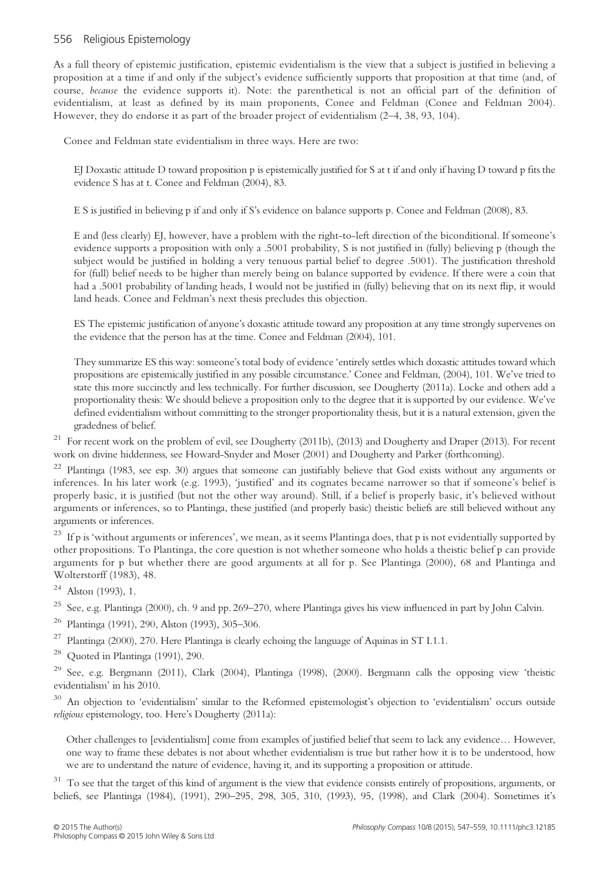As a full theory of epistemic justification, epistemic evidentialism is the view that a subject is justified in believing a proposition at a time if and only if the subject's evidence sufficiently supports that proposition at that time (and, of course, because the evidence supports it). Note: the parenthetical is not an official part of the definition of evidentialism, at least as defined by its main proponents, Conee and Feldman (Conee and Feldman 2004). However, they do endorse it as part of the broader project of evidentialism (2–4, 38, 93, 104).

Conee and Feldman state evidentialism in three ways. Here are two:

EJ Doxastic attitude D toward proposition p is epistemically justified for S at t if and only if having D toward p fits the evidence S has at t. Conee and Feldman (2004), 83.

E S is justified in believing p if and only if S's evidence on balance supports p. Conee and Feldman (2008), 83.

E and (less clearly) EJ, however, have a problem with the right-to-left direction of the biconditional. If someone's evidence supports a proposition with only a .5001 probability, S is not justified in (fully) believing p (though the subject would be justified in holding a very tenuous partial belief to degree .5001). The justification threshold for (full) belief needs to be higher than merely being on balance supported by evidence. If there were a coin that had a .5001 probability of landing heads, I would not be justified in (fully) believing that on its next flip, it would land heads. Conee and Feldman's next thesis precludes this objection.

ES The epistemic justification of anyone's doxastic attitude toward any proposition at any time strongly supervenes on the evidence that the person has at the time. Conee and Feldman (2004), 101.

They summarize ES this way: someone's total body of evidence 'entirely settles which doxastic attitudes toward which propositions are epistemically justified in any possible circumstance.' Conee and Feldman, (2004), 101. We've tried to state this more succinctly and less technically. For further discussion, see Dougherty (2011a). Locke and others add a proportionality thesis: We should believe a proposition only to the degree that it is supported by our evidence. We've defined evidentialism without committing to the stronger proportionality thesis, but it is a natural extension, given the gradedness of belief.

<sup>21</sup> For recent work on the problem of evil, see Dougherty (2011b), (2013) and Dougherty and Draper (2013). For recent work on divine hiddenness, see Howard-Snyder and Moser (2001) and Dougherty and Parker (forthcoming).

<sup>22</sup> Plantinga (1983, see esp. 30) argues that someone can justifiably believe that God exists without any arguments or inferences. In his later work (e.g. 1993), 'justified' and its cognates became narrower so that if someone's belief is properly basic, it is justified (but not the other way around). Still, if a belief is properly basic, it's believed without arguments or inferences, so to Plantinga, these justified (and properly basic) theistic beliefs are still believed without any arguments or inferences.

<sup>23</sup> If p is 'without arguments or inferences', we mean, as it seems Plantinga does, that p is not evidentially supported by other propositions. To Plantinga, the core question is not whether someone who holds a theistic belief p can provide arguments for p but whether there are good arguments at all for p. See Plantinga (2000), 68 and Plantinga and Wolterstorff (1983), 48.

 $24$  Alston (1993), 1.

<sup>25</sup> See, e.g. Plantinga (2000), ch. 9 and pp. 269–270, where Plantinga gives his view influenced in part by John Calvin.

- <sup>26</sup> Plantinga (1991), 290, Alston (1993), 305–306.
- $^{27}$  Plantinga (2000), 270. Here Plantinga is clearly echoing the language of Aquinas in ST I.1.1.

 $28$  Quoted in Plantinga (1991), 290.

 $29$  See, e.g. Bergmann (2011), Clark (2004), Plantinga (1998), (2000). Bergmann calls the opposing view 'theistic evidentialism' in his 2010.

<sup>30</sup> An objection to 'evidentialism' similar to the Reformed epistemologist's objection to 'evidentialism' occurs outside religious epistemology, too. Here's Dougherty (2011a):

Other challenges to [evidentialism] come from examples of justified belief that seem to lack any evidence… However, one way to frame these debates is not about whether evidentialism is true but rather how it is to be understood, how we are to understand the nature of evidence, having it, and its supporting a proposition or attitude.

<sup>31</sup> To see that the target of this kind of argument is the view that evidence consists entirely of propositions, arguments, or beliefs, see Plantinga (1984), (1991), 290–295, 298, 305, 310, (1993), 95, (1998), and Clark (2004). Sometimes it's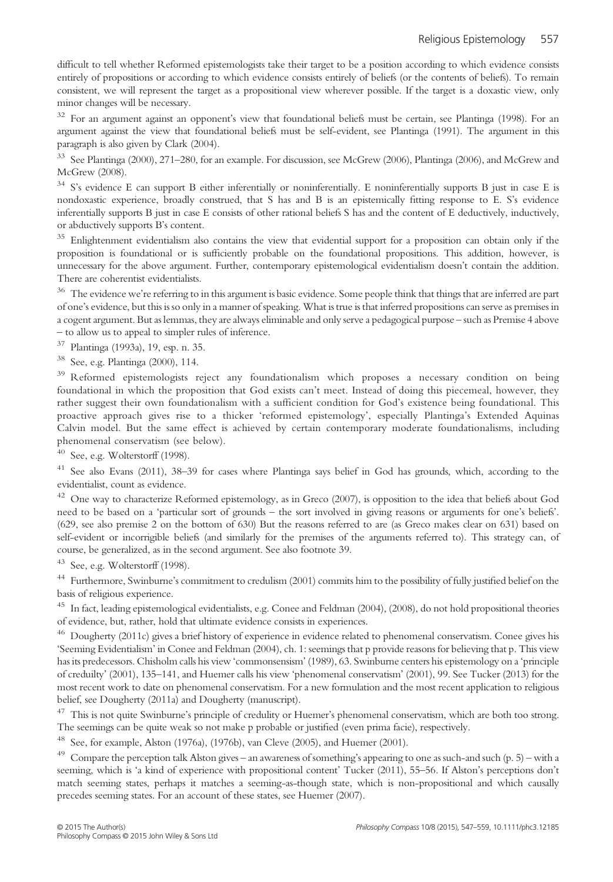difficult to tell whether Reformed epistemologists take their target to be a position according to which evidence consists entirely of propositions or according to which evidence consists entirely of beliefs (or the contents of beliefs). To remain consistent, we will represent the target as a propositional view wherever possible. If the target is a doxastic view, only minor changes will be necessary.

<sup>32</sup> For an argument against an opponent's view that foundational beliefs must be certain, see Plantinga (1998). For an argument against the view that foundational beliefs must be self-evident, see Plantinga (1991). The argument in this paragraph is also given by Clark (2004).

<sup>33</sup> See Plantinga (2000), 271–280, for an example. For discussion, see McGrew (2006), Plantinga (2006), and McGrew and McGrew (2008).

<sup>34</sup> S's evidence E can support B either inferentially or noninferentially. E noninferentially supports B just in case E is nondoxastic experience, broadly construed, that S has and B is an epistemically fitting response to E. S's evidence inferentially supports B just in case E consists of other rational beliefs S has and the content of E deductively, inductively, or abductively supports B's content.

<sup>35</sup> Enlightenment evidentialism also contains the view that evidential support for a proposition can obtain only if the proposition is foundational or is sufficiently probable on the foundational propositions. This addition, however, is unnecessary for the above argument. Further, contemporary epistemological evidentialism doesn't contain the addition. There are coherentist evidentialists.

<sup>36</sup> The evidence we're referring to in this argument is basic evidence. Some people think that things that are inferred are part of one's evidence, but this is so only in a manner of speaking. What is true is that inferred propositions can serve as premises in a cogent argument. But as lemmas, they are always eliminable and only serve a pedagogical purpose – such as Premise 4 above – to allow us to appeal to simpler rules of inference.

<sup>37</sup> Plantinga (1993a), 19, esp. n. 35.

<sup>38</sup> See, e.g. Plantinga (2000), 114.

<sup>39</sup> Reformed epistemologists reject any foundationalism which proposes a necessary condition on being foundational in which the proposition that God exists can't meet. Instead of doing this piecemeal, however, they rather suggest their own foundationalism with a sufficient condition for God's existence being foundational. This proactive approach gives rise to a thicker 'reformed epistemology', especially Plantinga's Extended Aquinas Calvin model. But the same effect is achieved by certain contemporary moderate foundationalisms, including phenomenal conservatism (see below).

 $40$  See, e.g. Wolterstorff (1998).

<sup>41</sup> See also Evans (2011), 38–39 for cases where Plantinga says belief in God has grounds, which, according to the evidentialist, count as evidence.

 $42$  One way to characterize Reformed epistemology, as in Greco (2007), is opposition to the idea that beliefs about God need to be based on a 'particular sort of grounds – the sort involved in giving reasons or arguments for one's beliefs'. (629, see also premise 2 on the bottom of 630) But the reasons referred to are (as Greco makes clear on 631) based on self-evident or incorrigible beliefs (and similarly for the premises of the arguments referred to). This strategy can, of course, be generalized, as in the second argument. See also footnote 39.

<sup>43</sup> See, e.g. Wolterstorff (1998).

<sup>44</sup> Furthermore, Swinburne's commitment to credulism (2001) commits him to the possibility of fully justified belief on the basis of religious experience.

<sup>45</sup> In fact, leading epistemological evidentialists, e.g. Conee and Feldman (2004), (2008), do not hold propositional theories of evidence, but, rather, hold that ultimate evidence consists in experiences.

<sup>46</sup> Dougherty (2011c) gives a brief history of experience in evidence related to phenomenal conservatism. Conee gives his 'Seeming Evidentialism' in Conee and Feldman (2004), ch. 1: seemings that p provide reasons for believing that p. This view has its predecessors. Chisholm calls his view 'commonsensism' (1989), 63. Swinburne centers his epistemology on a'principle of creduilty' (2001), 135–141, and Huemer calls his view 'phenomenal conservatism' (2001), 99. See Tucker (2013) for the most recent work to date on phenomenal conservatism. For a new formulation and the most recent application to religious belief, see Dougherty (2011a) and Dougherty (manuscript).

<sup>47</sup> This is not quite Swinburne's principle of credulity or Huemer's phenomenal conservatism, which are both too strong. The seemings can be quite weak so not make p probable or justified (even prima facie), respectively.

<sup>48</sup> See, for example, Alston (1976a), (1976b), van Cleve (2005), and Huemer (2001).

<sup>49</sup> Compare the perception talk Alston gives – an awareness of something's appearing to one as such-and such (p. 5) – with a seeming, which is 'a kind of experience with propositional content' Tucker (2011), 55–56. If Alston's perceptions don't match seeming states, perhaps it matches a seeming-as-though state, which is non-propositional and which causally precedes seeming states. For an account of these states, see Huemer (2007).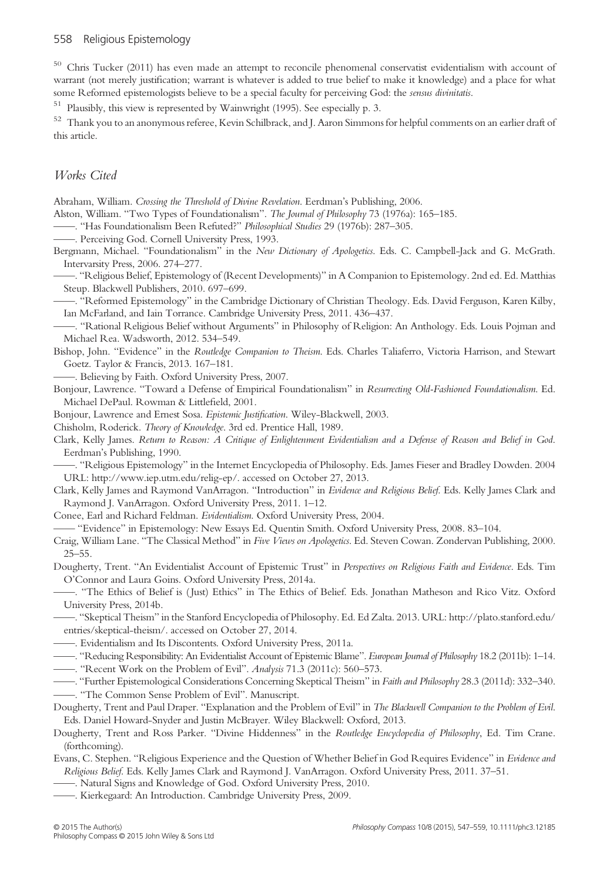<sup>50</sup> Chris Tucker (2011) has even made an attempt to reconcile phenomenal conservatist evidentialism with account of warrant (not merely justification; warrant is whatever is added to true belief to make it knowledge) and a place for what some Reformed epistemologists believe to be a special faculty for perceiving God: the *sensus divinitatis*.

<sup>51</sup> Plausibly, this view is represented by Wainwright (1995). See especially p. 3.

<sup>52</sup> Thank you to an anonymous referee, Kevin Schilbrack, and J. Aaron Simmons for helpful comments on an earlier draft of this article.

#### Works Cited

Abraham, William. Crossing the Threshold of Divine Revelation. Eerdman's Publishing, 2006.

Alston, William. "Two Types of Foundationalism". The Journal of Philosophy 73 (1976a): 165–185.

——. "Has Foundationalism Been Refuted?" Philosophical Studies 29 (1976b): 287–305.

——. Perceiving God. Cornell University Press, 1993.

Bergmann, Michael. "Foundationalism" in the New Dictionary of Apologetics. Eds. C. Campbell-Jack and G. McGrath. Intervarsity Press, 2006. 274–277.

——. "Religious Belief, Epistemology of (Recent Developments)" in A Companion to Epistemology. 2nd ed. Ed. Matthias Steup. Blackwell Publishers, 2010. 697–699.

——. "Reformed Epistemology" in the Cambridge Dictionary of Christian Theology. Eds. David Ferguson, Karen Kilby, Ian McFarland, and Iain Torrance. Cambridge University Press, 2011. 436–437.

——. "Rational Religious Belief without Arguments" in Philosophy of Religion: An Anthology. Eds. Louis Pojman and Michael Rea. Wadsworth, 2012. 534–549.

Bishop, John. "Evidence" in the Routledge Companion to Theism. Eds. Charles Taliaferro, Victoria Harrison, and Stewart Goetz. Taylor & Francis, 2013. 167–181.

——. Believing by Faith. Oxford University Press, 2007.

Bonjour, Lawrence. "Toward a Defense of Empirical Foundationalism" in Resurrecting Old-Fashioned Foundationalism. Ed. Michael DePaul. Rowman & Littlefield, 2001.

Bonjour, Lawrence and Ernest Sosa. Epistemic Justification. Wiley-Blackwell, 2003.

Chisholm, Roderick. Theory of Knowledge. 3rd ed. Prentice Hall, 1989.

Clark, Kelly James. Return to Reason: A Critique of Enlightenment Evidentialism and a Defense of Reason and Belief in God. Eerdman's Publishing, 1990.

——. "Religious Epistemology" in the Internet Encyclopedia of Philosophy. Eds. James Fieser and Bradley Dowden. 2004 URL: http://www.iep.utm.edu/relig-ep/. accessed on October 27, 2013.

Clark, Kelly James and Raymond VanArragon. "Introduction" in Evidence and Religious Belief. Eds. Kelly James Clark and Raymond J. VanArragon. Oxford University Press, 2011. 1–12.

Conee, Earl and Richard Feldman. Evidentialism. Oxford University Press, 2004.

—— "Evidence" in Epistemology: New Essays Ed. Quentin Smith. Oxford University Press, 2008. 83–104.

Craig, William Lane. "The Classical Method" in Five Views on Apologetics. Ed. Steven Cowan. Zondervan Publishing, 2000. 25–55.

Dougherty, Trent. "An Evidentialist Account of Epistemic Trust" in Perspectives on Religious Faith and Evidence. Eds. Tim O'Connor and Laura Goins. Oxford University Press, 2014a.

——. "The Ethics of Belief is ( Just) Ethics" in The Ethics of Belief. Eds. Jonathan Matheson and Rico Vitz. Oxford University Press, 2014b.

——. "Skeptical Theism" in the Stanford Encyclopedia of Philosophy. Ed. Ed Zalta. 2013. URL: [http://plato.stanford.edu/](http://plato.stanford.edu/entries/skeptical-theism/) [entries/skeptical-theism/.](http://plato.stanford.edu/entries/skeptical-theism/) accessed on October 27, 2014.

- ——. Evidentialism and Its Discontents. Oxford University Press, 2011a.
- ——. "Reducing Responsibility: An Evidentialist Account of Epistemic Blame". European Journal of Philosophy 18.2 (2011b): 1–14. ——. "Recent Work on the Problem of Evil". Analysis 71.3 (2011c): 560–573.
- 
- —. "Further Epistemological Considerations Concerning Skeptical Theism" in Faith and Philosophy 28.3 (2011d): 332–340.

——. "The Common Sense Problem of Evil". Manuscript.

Dougherty, Trent and Paul Draper. "Explanation and the Problem of Evil" in The Blackwell Companion to the Problem of Evil. Eds. Daniel Howard-Snyder and Justin McBrayer. Wiley Blackwell: Oxford, 2013.

Dougherty, Trent and Ross Parker. "Divine Hiddenness" in the Routledge Encyclopedia of Philosophy, Ed. Tim Crane. (forthcoming).

Evans, C. Stephen. "Religious Experience and the Question of Whether Belief in God Requires Evidence" in Evidence and Religious Belief. Eds. Kelly James Clark and Raymond J. VanArragon. Oxford University Press, 2011. 37–51.

——. Natural Signs and Knowledge of God. Oxford University Press, 2010.

——. Kierkegaard: An Introduction. Cambridge University Press, 2009.